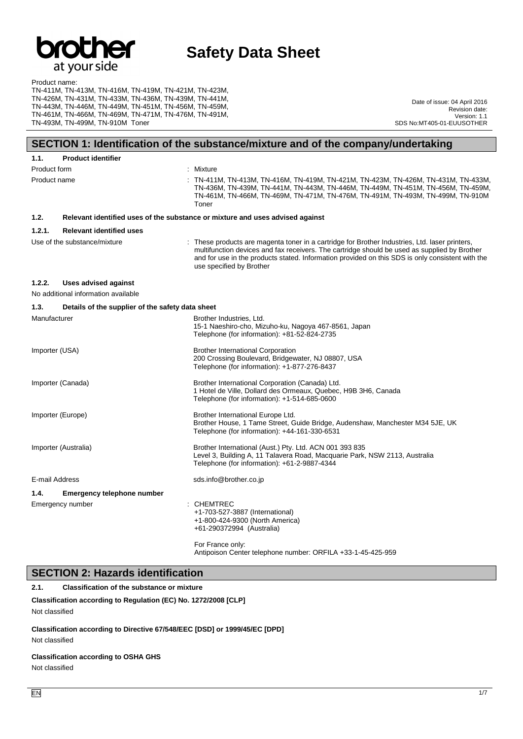

#### Product name: TN-411M, TN-413M, TN-416M, TN-419M, TN-421M, TN-423M, TN-426M, TN-431M, TN-433M, TN-436M, TN-439M, TN-441M, TN-443M, TN-446M, TN-449M, TN-451M, TN-456M, TN-459M, TN-461M, TN-466M, TN-469M, TN-471M, TN-476M, TN-491M, TN-493M, TN-499M, TN-910M Toner

Date of issue: 04 April 2016 Revision date: Version: 1.1 SDS No:MT405-01-EUUSOTHER

# **SECTION 1: Identification of the substance/mixture and of the company/undertaking**

| 1.1.                 | <b>Product identifier</b>                                                     |                                                                                                                                                                                                                                                                                                                                |  |
|----------------------|-------------------------------------------------------------------------------|--------------------------------------------------------------------------------------------------------------------------------------------------------------------------------------------------------------------------------------------------------------------------------------------------------------------------------|--|
| Product form         |                                                                               | : Mixture                                                                                                                                                                                                                                                                                                                      |  |
| Product name         |                                                                               | : TN-411M, TN-413M, TN-416M, TN-419M, TN-421M, TN-423M, TN-426M, TN-431M, TN-433M,<br>TN-436M, TN-439M, TN-441M, TN-443M, TN-446M, TN-449M, TN-451M, TN-456M, TN-459M,<br>TN-461M, TN-466M, TN-469M, TN-471M, TN-476M, TN-491M, TN-493M, TN-499M, TN-910M<br>Toner                                                             |  |
| 1.2.                 | Relevant identified uses of the substance or mixture and uses advised against |                                                                                                                                                                                                                                                                                                                                |  |
| 1.2.1.               | <b>Relevant identified uses</b>                                               |                                                                                                                                                                                                                                                                                                                                |  |
|                      | Use of the substance/mixture                                                  | : These products are magenta toner in a cartridge for Brother Industries, Ltd. laser printers,<br>multifunction devices and fax receivers. The cartridge should be used as supplied by Brother<br>and for use in the products stated. Information provided on this SDS is only consistent with the<br>use specified by Brother |  |
| 1.2.2.               | <b>Uses advised against</b><br>No additional information available            |                                                                                                                                                                                                                                                                                                                                |  |
| 1.3.                 | Details of the supplier of the safety data sheet                              |                                                                                                                                                                                                                                                                                                                                |  |
| Manufacturer         |                                                                               | Brother Industries, Ltd.<br>15-1 Naeshiro-cho, Mizuho-ku, Nagoya 467-8561, Japan<br>Telephone (for information): +81-52-824-2735                                                                                                                                                                                               |  |
| Importer (USA)       |                                                                               | <b>Brother International Corporation</b><br>200 Crossing Boulevard, Bridgewater, NJ 08807, USA<br>Telephone (for information): +1-877-276-8437                                                                                                                                                                                 |  |
|                      | Importer (Canada)                                                             | Brother International Corporation (Canada) Ltd.<br>1 Hotel de Ville, Dollard des Ormeaux, Quebec, H9B 3H6, Canada<br>Telephone (for information): +1-514-685-0600                                                                                                                                                              |  |
| Importer (Europe)    |                                                                               | Brother International Europe Ltd.<br>Brother House, 1 Tame Street, Guide Bridge, Audenshaw, Manchester M34 5JE, UK<br>Telephone (for information): +44-161-330-6531                                                                                                                                                            |  |
| Importer (Australia) |                                                                               | Brother International (Aust.) Pty. Ltd. ACN 001 393 835<br>Level 3, Building A, 11 Talavera Road, Macquarie Park, NSW 2113, Australia<br>Telephone (for information): +61-2-9887-4344                                                                                                                                          |  |
| E-mail Address       |                                                                               | sds.info@brother.co.jp                                                                                                                                                                                                                                                                                                         |  |
| 1.4.                 | <b>Emergency telephone number</b>                                             |                                                                                                                                                                                                                                                                                                                                |  |
|                      | Emergency number                                                              | <b>CHEMTREC</b><br>+1-703-527-3887 (International)<br>+1-800-424-9300 (North America)<br>+61-290372994 (Australia)                                                                                                                                                                                                             |  |
|                      |                                                                               | For France only:<br>Antipoison Center telephone number: ORFILA +33-1-45-425-959                                                                                                                                                                                                                                                |  |

**SECTION 2: Hazards identification**

**2.1. Classification of the substance or mixture**

**Classification according to Regulation (EC) No. 1272/2008 [CLP]** Not classified

**Classification according to Directive 67/548/EEC [DSD] or 1999/45/EC [DPD]** Not classified

#### **Classification according to OSHA GHS**

Not classified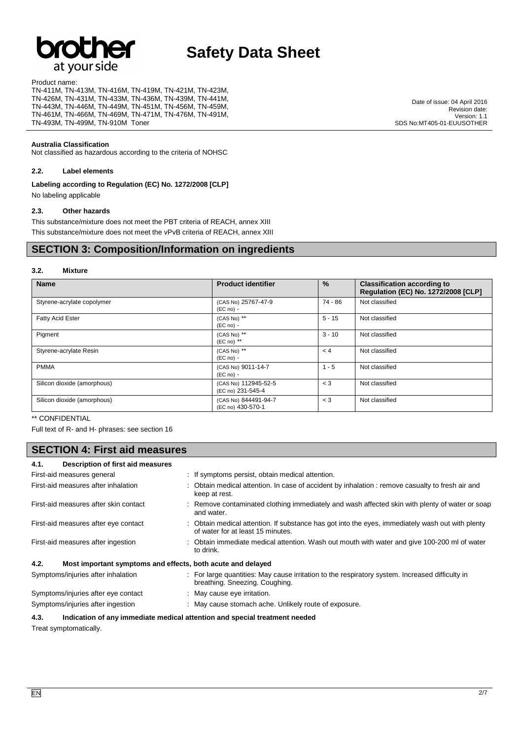# at your side

# **Safety Data Sheet**

Product name:

TN-411M, TN-413M, TN-416M, TN-419M, TN-421M, TN-423M, TN-426M, TN-431M, TN-433M, TN-436M, TN-439M, TN-441M, TN-443M, TN-446M, TN-449M, TN-451M, TN-456M, TN-459M, TN-461M, TN-466M, TN-469M, TN-471M, TN-476M, TN-491M, TN-493M, TN-499M, TN-910M Toner

#### **Australia Classification**

Not classified as hazardous according to the criteria of NOHSC

#### **2.2. Label elements**

**Labeling according to Regulation (EC) No. 1272/2008 [CLP]**

No labeling applicable

#### **2.3. Other hazards**

This substance/mixture does not meet the PBT criteria of REACH, annex XIII This substance/mixture does not meet the vPvB criteria of REACH, annex XIII

## **SECTION 3: Composition/Information on ingredients**

#### **3.2. Mixture**

| <b>Name</b>                 | <b>Product identifier</b>                 | $\%$     | <b>Classification according to</b><br><b>Regulation (EC) No. 1272/2008 [CLP]</b> |
|-----------------------------|-------------------------------------------|----------|----------------------------------------------------------------------------------|
| Styrene-acrylate copolymer  | (CAS No) 25767-47-9<br>$(EC no) -$        | 74 - 86  | Not classified                                                                   |
| <b>Fatty Acid Ester</b>     | (CAS No) **<br>$(EC no) -$                | $5 - 15$ | Not classified                                                                   |
| Pigment                     | (CAS No) **<br>$(EC \n  no)$ **           | $3 - 10$ | Not classified                                                                   |
| Styrene-acrylate Resin      | (CAS No) **<br>$(EC no) -$                | < 4      | Not classified                                                                   |
| <b>PMMA</b>                 | (CAS No) 9011-14-7<br>$(EC no) -$         | $1 - 5$  | Not classified                                                                   |
| Silicon dioxide (amorphous) | (CAS No) 112945-52-5<br>(EC no) 231-545-4 | $<$ 3    | Not classified                                                                   |
| Silicon dioxide (amorphous) | (CAS No) 844491-94-7<br>(EC no) 430-570-1 | $<$ 3    | Not classified                                                                   |

#### \*\* CONFIDENTIAL

Full text of R- and H- phrases: see section 16

# **SECTION 4: First aid measures**

| 4.1.<br>Description of first aid measures                           |                                                                                                                                       |  |
|---------------------------------------------------------------------|---------------------------------------------------------------------------------------------------------------------------------------|--|
| First-aid measures general                                          | : If symptoms persist, obtain medical attention.                                                                                      |  |
| First-aid measures after inhalation                                 | : Obtain medical attention. In case of accident by inhalation : remove casualty to fresh air and<br>keep at rest.                     |  |
| First-aid measures after skin contact                               | : Remove contaminated clothing immediately and wash affected skin with plenty of water or soap<br>and water.                          |  |
| First-aid measures after eye contact                                | : Obtain medical attention. If substance has got into the eyes, immediately wash out with plenty<br>of water for at least 15 minutes. |  |
| First-aid measures after ingestion                                  | Obtain immediate medical attention. Wash out mouth with water and give 100-200 ml of water<br>to drink.                               |  |
| 4.2.<br>Most important symptoms and effects, both acute and delayed |                                                                                                                                       |  |
| Symptoms/injuries after inhalation                                  | : For large quantities: May cause irritation to the respiratory system. Increased difficulty in<br>breathing. Sneezing. Coughing.     |  |
| Symptoms/injuries after eye contact                                 | May cause eye irritation.                                                                                                             |  |
| Symptoms/injuries after ingestion                                   | : May cause stomach ache. Unlikely route of exposure.                                                                                 |  |

#### **4.3. Indication of any immediate medical attention and special treatment needed**

Treat symptomatically.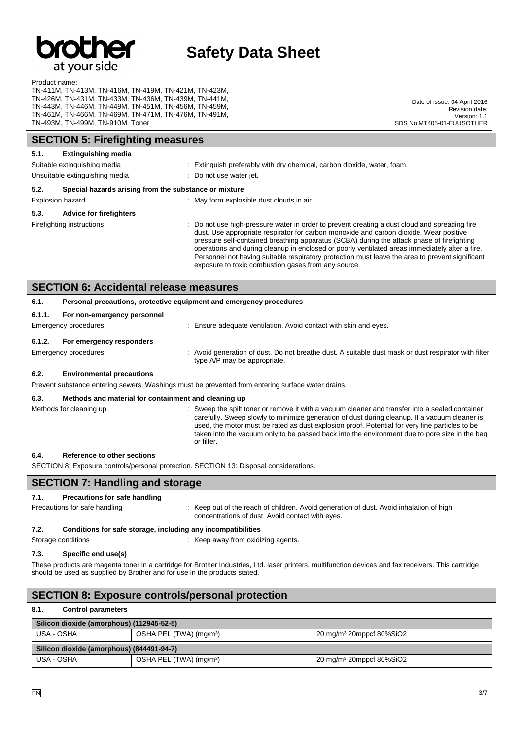

#### Product name:

TN-411M, TN-413M, TN-416M, TN-419M, TN-421M, TN-423M, TN-426M, TN-431M, TN-433M, TN-436M, TN-439M, TN-441M, TN-443M, TN-446M, TN-449M, TN-451M, TN-456M, TN-459M, TN-461M, TN-466M, TN-469M, TN-471M, TN-476M, TN-491M, TN-493M, TN-499M, TN-910M Toner

Date of issue: 04 April 2016 Revision date: Version: 1.1 SDS No:MT405-01-EUUSOTHER

| <b>SECTION 5: Firefighting measures</b>                                                              |                                                                     |  |                                                                                                                                                                                                                                                                                                                                                                                                                                                                                                                                                 |
|------------------------------------------------------------------------------------------------------|---------------------------------------------------------------------|--|-------------------------------------------------------------------------------------------------------------------------------------------------------------------------------------------------------------------------------------------------------------------------------------------------------------------------------------------------------------------------------------------------------------------------------------------------------------------------------------------------------------------------------------------------|
| <b>Extinguishing media</b><br>5.1.<br>Suitable extinguishing media<br>Unsuitable extinguishing media |                                                                     |  | Extinguish preferably with dry chemical, carbon dioxide, water, foam.<br>Do not use water jet.                                                                                                                                                                                                                                                                                                                                                                                                                                                  |
| 5.2.<br>Special hazards arising from the substance or mixture                                        |                                                                     |  |                                                                                                                                                                                                                                                                                                                                                                                                                                                                                                                                                 |
|                                                                                                      | Explosion hazard                                                    |  | : May form explosible dust clouds in air.                                                                                                                                                                                                                                                                                                                                                                                                                                                                                                       |
| 5.3.                                                                                                 | <b>Advice for firefighters</b>                                      |  |                                                                                                                                                                                                                                                                                                                                                                                                                                                                                                                                                 |
|                                                                                                      | Firefighting instructions                                           |  | Do not use high-pressure water in order to prevent creating a dust cloud and spreading fire<br>dust. Use appropriate respirator for carbon monoxide and carbon dioxide. Wear positive<br>pressure self-contained breathing apparatus (SCBA) during the attack phase of firefighting<br>operations and during cleanup in enclosed or poorly ventilated areas immediately after a fire.<br>Personnel not having suitable respiratory protection must leave the area to prevent significant<br>exposure to toxic combustion gases from any source. |
|                                                                                                      | <b>SECTION 6: Accidental release measures</b>                       |  |                                                                                                                                                                                                                                                                                                                                                                                                                                                                                                                                                 |
| 6.1.                                                                                                 | Personal precautions, protective equipment and emergency procedures |  |                                                                                                                                                                                                                                                                                                                                                                                                                                                                                                                                                 |
| 6.1.1.                                                                                               | For non-emergency personnel<br>Emergency procedures                 |  | Ensure adequate ventilation. Avoid contact with skin and eyes.                                                                                                                                                                                                                                                                                                                                                                                                                                                                                  |
| 6.1.2.                                                                                               | For emergency responders                                            |  |                                                                                                                                                                                                                                                                                                                                                                                                                                                                                                                                                 |
|                                                                                                      | Emergency procedures                                                |  | Avoid generation of dust. Do not breathe dust. A suitable dust mask or dust respirator with filter<br>type A/P may be appropriate.                                                                                                                                                                                                                                                                                                                                                                                                              |
| 6.2.                                                                                                 | <b>Environmental precautions</b>                                    |  |                                                                                                                                                                                                                                                                                                                                                                                                                                                                                                                                                 |
| Prevent substance entering sewers. Washings must be prevented from entering surface water drains.    |                                                                     |  |                                                                                                                                                                                                                                                                                                                                                                                                                                                                                                                                                 |
| 6.3.                                                                                                 | Methods and material for containment and cleaning up                |  |                                                                                                                                                                                                                                                                                                                                                                                                                                                                                                                                                 |
| Methods for cleaning up                                                                              |                                                                     |  | Sweep the spilt toner or remove it with a vacuum cleaner and transfer into a sealed container<br>carefully. Sweep slowly to minimize generation of dust during cleanup. If a vacuum cleaner is<br>used, the motor must be rated as dust explosion proof. Potential for very fine particles to be                                                                                                                                                                                                                                                |

taken into the vacuum only to be passed back into the environment due to pore size in the bag

#### **6.4. Reference to other sections**

SECTION 8: Exposure controls/personal protection. SECTION 13: Disposal considerations.

## **SECTION 7: Handling and storage**

#### **7.1. Precautions for safe handling**

Precautions for safe handling **interpretation** : Keep out of the reach of children. Avoid generation of dust. Avoid inhalation of high concentrations of dust. Avoid contact with eyes.

or filter.

#### **7.2. Conditions for safe storage, including any incompatibilities**

Storage conditions **Storage conditions** : Keep away from oxidizing agents.

#### **7.3. Specific end use(s)**

These products are magenta toner in a cartridge for Brother Industries, Ltd. laser printers, multifunction devices and fax receivers. This cartridge should be used as supplied by Brother and for use in the products stated.

# **SECTION 8: Exposure controls/personal protection**

## **8.1. Control parameters**

| Silicon dioxide (amorphous) (112945-52-5) |                                     |                                      |  |
|-------------------------------------------|-------------------------------------|--------------------------------------|--|
| USA - OSHA                                | OSHA PEL (TWA) (mg/m <sup>3</sup> ) | 20 mg/m <sup>3</sup> 20mppcf 80%SiO2 |  |
| Silicon dioxide (amorphous) (844491-94-7) |                                     |                                      |  |
| USA - OSHA                                | OSHA PEL (TWA) (mg/m <sup>3</sup> ) | 20 mg/m <sup>3</sup> 20mppcf 80%SiO2 |  |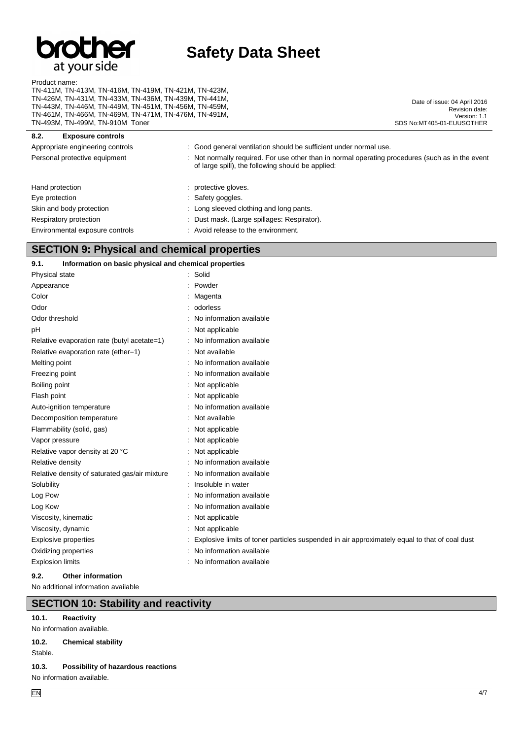

Product name:

TN-411M, TN-413M, TN-416M, TN-419M, TN-421M, TN-423M, TN-426M, TN-431M, TN-433M, TN-436M, TN-439M, TN-441M, TN-443M, TN-446M, TN-449M, TN-451M, TN-456M, TN-459M, TN-461M, TN-466M, TN-469M, TN-471M, TN-476M, TN-491M, TN-493M, TN-499M, TN-910M Toner

Date of issue: 04 April 2016 Revision date: Version: 1.1 SDS No:MT405-01-EUUSOTHER

## **8.2. Exposure controls** Appropriate engineering controls : Good general ventilation should be sufficient under normal use. Personal protective equipment : Not normally required. For use other than in normal operating procedures (such as in the event of large spill), the following should be applied: Hand protection **in the contract of the contract of the contract of the contract of the contract of the contract of the contract of the contract of the contract of the contract of the contract of the contract of the contra** Eye protection  $\qquad \qquad$ : Safety goggles. Skin and body protection : Long sleeved clothing and long pants. Respiratory protection **in the set of the COV** Meson Clarge spillages: Respirator). Environmental exposure controls : Avoid release to the environment.

# **SECTION 9: Physical and chemical properties**

#### **9.1. Information on basic physical and chemical properties** Physical state : Solid

| Appearance                                    | Powder                                                                                        |
|-----------------------------------------------|-----------------------------------------------------------------------------------------------|
| Color                                         | Magenta                                                                                       |
| Odor                                          | odorless                                                                                      |
| Odor threshold                                | No information available                                                                      |
| pH                                            | Not applicable                                                                                |
| Relative evaporation rate (butyl acetate=1)   | No information available                                                                      |
| Relative evaporation rate (ether=1)           | Not available                                                                                 |
| Melting point                                 | No information available                                                                      |
| Freezing point                                | No information available                                                                      |
| Boiling point                                 | Not applicable                                                                                |
| Flash point                                   | Not applicable                                                                                |
| Auto-ignition temperature                     | No information available                                                                      |
| Decomposition temperature                     | Not available                                                                                 |
| Flammability (solid, gas)                     | Not applicable                                                                                |
| Vapor pressure                                | Not applicable                                                                                |
| Relative vapor density at 20 °C               | Not applicable                                                                                |
| Relative density                              | No information available                                                                      |
| Relative density of saturated gas/air mixture | No information available                                                                      |
| Solubility                                    | Insoluble in water                                                                            |
| Log Pow                                       | No information available                                                                      |
| Log Kow                                       | No information available                                                                      |
| Viscosity, kinematic                          | Not applicable                                                                                |
| Viscosity, dynamic                            | Not applicable                                                                                |
| Explosive properties                          | Explosive limits of toner particles suspended in air approximately equal to that of coal dust |
| Oxidizing properties                          | No information available                                                                      |
| <b>Explosion limits</b>                       | No information available                                                                      |
|                                               |                                                                                               |

#### **9.2. Other information**

No additional information available

## **SECTION 10: Stability and reactivity**

#### **10.1. Reactivity**

No information available.

### **10.2. Chemical stability**

Stable.

#### **10.3. Possibility of hazardous reactions**

No information available.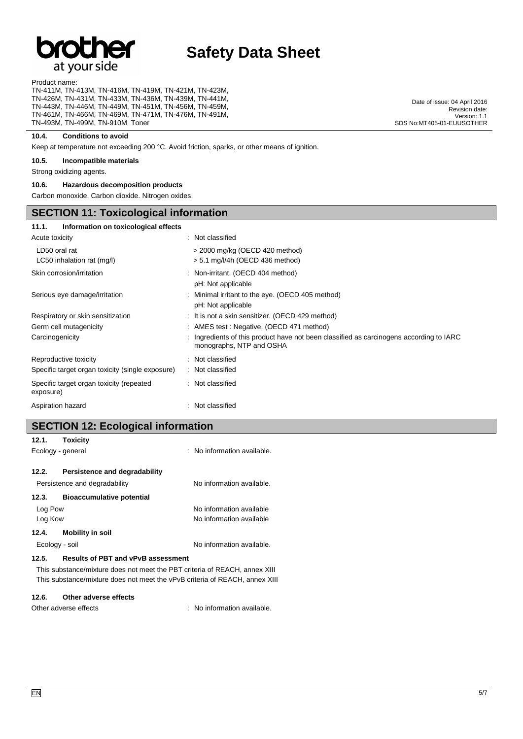# **Dr** at your side

# **Safety Data Sheet**

Product name:

TN-411M, TN-413M, TN-416M, TN-419M, TN-421M, TN-423M, TN-426M, TN-431M, TN-433M, TN-436M, TN-439M, TN-441M, TN-443M, TN-446M, TN-449M, TN-451M, TN-456M, TN-459M, TN-461M, TN-466M, TN-469M, TN-471M, TN-476M, TN-491M, TN-493M, TN-499M, TN-910M Toner

#### **10.4. Conditions to avoid**

Keep at temperature not exceeding 200 °C. Avoid friction, sparks, or other means of ignition.

#### **10.5. Incompatible materials**

Strong oxidizing agents.

#### **10.6. Hazardous decomposition products**

Carbon monoxide. Carbon dioxide. Nitrogen oxides.

# **SECTION 11: Toxicological information**

| Information on toxicological effects<br>11.1.         |                                                                                                                     |
|-------------------------------------------------------|---------------------------------------------------------------------------------------------------------------------|
| Acute toxicity                                        | : Not classified                                                                                                    |
| LD50 oral rat<br>$LC50$ inhalation rat (mg/l)         | > 2000 mg/kg (OECD 420 method)<br>> 5.1 mg/l/4h (OECD 436 method)                                                   |
| Skin corrosion/irritation                             | : Non-irritant. (OECD 404 method)<br>pH: Not applicable                                                             |
| Serious eye damage/irritation                         | : Minimal irritant to the eye. (OECD 405 method)<br>pH: Not applicable                                              |
| Respiratory or skin sensitization                     | : It is not a skin sensitizer. (OECD 429 method)                                                                    |
| Germ cell mutagenicity                                | : AMES test : Negative. (OECD 471 method)                                                                           |
| Carcinogenicity                                       | : Ingredients of this product have not been classified as carcinogens according to IARC<br>monographs, NTP and OSHA |
| Reproductive toxicity                                 | : Not classified                                                                                                    |
| Specific target organ toxicity (single exposure)      | : Not classified                                                                                                    |
| Specific target organ toxicity (repeated<br>exposure) | : Not classified                                                                                                    |
| Aspiration hazard                                     | : Not classified                                                                                                    |
|                                                       |                                                                                                                     |

# **SECTION 12: Ecological information**

| 12.1.             | <b>Toxicity</b>                           |                                                                             |
|-------------------|-------------------------------------------|-----------------------------------------------------------------------------|
| Ecology - general |                                           | : No information available.                                                 |
|                   |                                           |                                                                             |
| 12.2.             | Persistence and degradability             |                                                                             |
|                   | Persistence and degradability             | No information available.                                                   |
| 12.3.             | <b>Bioaccumulative potential</b>          |                                                                             |
| Log Pow           |                                           | No information available                                                    |
| Log Kow           |                                           | No information available                                                    |
| 12.4.             | Mobility in soil                          |                                                                             |
| Ecology - soil    |                                           | No information available.                                                   |
| 12.5.             | <b>Results of PBT and vPvB assessment</b> |                                                                             |
|                   |                                           | This substance/mixture does not meet the PBT criteria of REACH, annex XIII  |
|                   |                                           | This substance/mixture does not meet the vPvB criteria of REACH, annex XIII |

#### **12.6. Other adverse effects**

Other adverse effects in the state of the state of the state of the state of the state of the state of the state of the state of the state of the state of the state of the state of the state of the state of the state of th

Date of issue: 04 April 2016 Revision date: Version: 1.1 SDS No:MT405-01-EUUSOTHER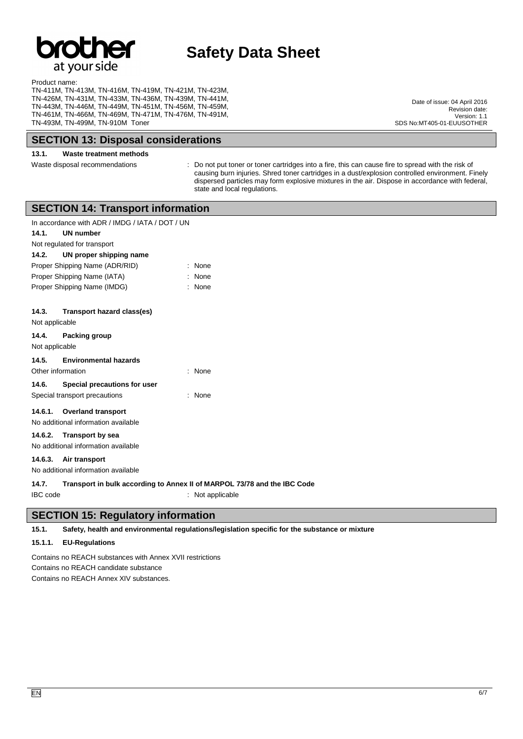

Product name: TN-411M, TN-413M, TN-416M, TN-419M, TN-421M, TN-423M, TN-426M, TN-431M, TN-433M, TN-436M, TN-439M, TN-441M, TN-443M, TN-446M, TN-449M, TN-451M, TN-456M, TN-459M, TN-461M, TN-466M, TN-469M, TN-471M, TN-476M, TN-491M, TN-493M, TN-499M, TN-910M Toner

**SECTION 13: Disposal considerations**

# **13.1. Waste treatment methods**

Waste disposal recommendations : Do not put toner or toner cartridges into a fire, this can cause fire to spread with the risk of causing burn injuries. Shred toner cartridges in a dust/explosion controlled environment. Finely dispersed particles may form explosive mixtures in the air. Dispose in accordance with federal, state and local regulations.

|                                                                                                                                                                                                                                                 | <b>SECTION 14: Transport information</b>                                                     |  |  |
|-------------------------------------------------------------------------------------------------------------------------------------------------------------------------------------------------------------------------------------------------|----------------------------------------------------------------------------------------------|--|--|
| In accordance with ADR / IMDG / IATA / DOT / UN<br>14.1.<br><b>UN number</b><br>Not regulated for transport<br>14.2.<br>UN proper shipping name<br>Proper Shipping Name (ADR/RID)<br>Proper Shipping Name (IATA)<br>Proper Shipping Name (IMDG) | None<br>None<br>None                                                                         |  |  |
| 14.3.<br>Transport hazard class(es)<br>Not applicable<br>14.4.<br>Packing group                                                                                                                                                                 |                                                                                              |  |  |
| Not applicable                                                                                                                                                                                                                                  |                                                                                              |  |  |
| 14.5.<br><b>Environmental hazards</b><br>Other information                                                                                                                                                                                      | None                                                                                         |  |  |
| 14.6.<br>Special precautions for user<br>Special transport precautions                                                                                                                                                                          | None                                                                                         |  |  |
| <b>Overland transport</b><br>14.6.1.<br>No additional information available                                                                                                                                                                     |                                                                                              |  |  |
| 14.6.2.<br><b>Transport by sea</b><br>No additional information available                                                                                                                                                                       |                                                                                              |  |  |
| 14.6.3.<br>Air transport<br>No additional information available                                                                                                                                                                                 |                                                                                              |  |  |
| 14.7.<br><b>IBC</b> code                                                                                                                                                                                                                        | Transport in bulk according to Annex II of MARPOL 73/78 and the IBC Code<br>: Not applicable |  |  |

### **SECTION 15: Regulatory information**

**15.1. Safety, health and environmental regulations/legislation specific for the substance or mixture**

#### **15.1.1. EU-Regulations**

Contains no REACH substances with Annex XVII restrictions Contains no REACH candidate substance Contains no REACH Annex XIV substances.

Date of issue: 04 April 2016 Revision date: Version: 1.1 SDS No:MT405-01-EUUSOTHER